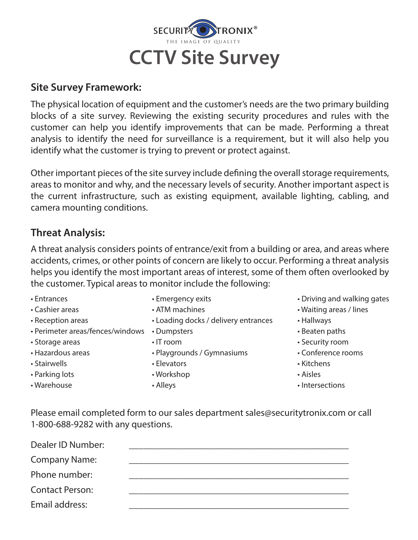

### **Site Survey Framework:**

The physical location of equipment and the customer's needs are the two primary building blocks of a site survey. Reviewing the existing security procedures and rules with the customer can help you identify improvements that can be made. Performing a threat analysis to identify the need for surveillance is a requirement, but it will also help you identify what the customer is trying to prevent or protect against.

Other important pieces of the site survey include defining the overall storage requirements, areas to monitor and why, and the necessary levels of security. Another important aspect is the current infrastructure, such as existing equipment, available lighting, cabling, and camera mounting conditions.

## **Threat Analysis:**

A threat analysis considers points of entrance/exit from a building or area, and areas where accidents, crimes, or other points of concern are likely to occur. Performing a threat analysis helps you identify the most important areas of interest, some of them often overlooked by the customer. Typical areas to monitor include the following:

- 
- 
- 
- Perimeter areas/fences/windows Dumpsters **Example 19** Beaten paths
- 
- 
- Stairwells Elevators Kitchens
- Parking lots  **Workshop Aisles Aisles Aisles**
- 
- 
- 
- Reception areas Loading docks / delivery entrances Hallways
	-
	-
- Hazardous areas Playgrounds / Gymnasiums Conference rooms
	-
	-
	-
- Entrances **Emergency exits** Emergency exits Driving and walking gates
- Cashier areas ATM machines Waiting areas / lines
	-
	-
- Storage areas IT room Security room
	-
	-
	-
- Warehouse **Alleys** Alleys **Alleys** Intersections

Please email completed form to our sales department sales@securitytronix.com or call 1-800-688-9282 with any questions.

| Dealer ID Number:      |  |
|------------------------|--|
| <b>Company Name:</b>   |  |
| Phone number:          |  |
| <b>Contact Person:</b> |  |
| Email address:         |  |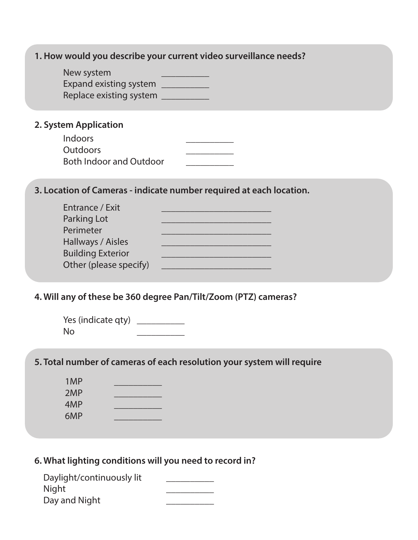| 1. How would you describe your current video surveillance needs?                                                                                                                                                                                                                                                            |
|-----------------------------------------------------------------------------------------------------------------------------------------------------------------------------------------------------------------------------------------------------------------------------------------------------------------------------|
| New system<br>Expand existing system <b>EXPANDIAL EXPANDI</b><br>Replace existing system __________                                                                                                                                                                                                                         |
| 2. System Application                                                                                                                                                                                                                                                                                                       |
| Indoors<br>Outdoors<br><b>Both Indoor and Outdoor</b>                                                                                                                                                                                                                                                                       |
| 3. Location of Cameras - indicate number required at each location.                                                                                                                                                                                                                                                         |
| Entrance / Exit<br>Parking Lot<br>Perimeter<br>Hallways / Aisles<br><u> 1980 - Johann Barbara, martxa alemaniar a</u><br><b>Building Exterior</b><br>Other (please specify)                                                                                                                                                 |
| 4. Will any of these be 360 degree Pan/Tilt/Zoom (PTZ) cameras?                                                                                                                                                                                                                                                             |
| Yes (indicate qty) $\frac{1}{2}$ $\frac{1}{2}$ $\frac{1}{2}$ $\frac{1}{2}$ $\frac{1}{2}$ $\frac{1}{2}$ $\frac{1}{2}$ $\frac{1}{2}$ $\frac{1}{2}$ $\frac{1}{2}$ $\frac{1}{2}$ $\frac{1}{2}$ $\frac{1}{2}$ $\frac{1}{2}$ $\frac{1}{2}$ $\frac{1}{2}$ $\frac{1}{2}$ $\frac{1}{2}$ $\frac{1}{2}$ $\frac{1}{2}$ $\$<br><b>No</b> |

# **5. Total number of cameras of each resolution your system will require**

| 1MP |  |
|-----|--|
| 2MP |  |
| 4MP |  |
| 6MP |  |

# **6. What lighting conditions will you need to record in?**

| Daylight/continuously lit |  |
|---------------------------|--|
| Night                     |  |
| Day and Night             |  |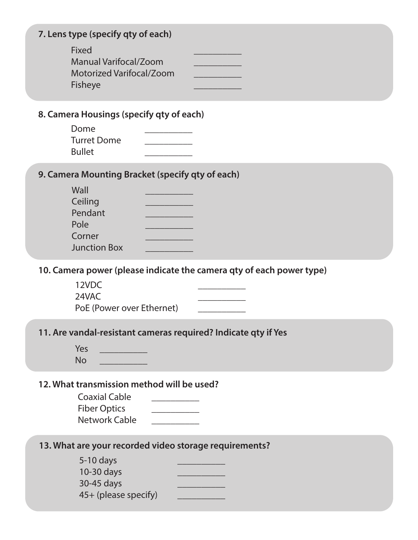| 7. Lens type (specify qty of each)                                           |  |
|------------------------------------------------------------------------------|--|
| Fixed<br><b>Manual Varifocal/Zoom</b><br>Motorized Varifocal/Zoom<br>Fisheye |  |

#### **8. Camera Housings (specify qty of each)**

| Dome               |  |
|--------------------|--|
| <b>Turret Dome</b> |  |
| <b>Bullet</b>      |  |

### **9. Camera Mounting Bracket (specify qty of each)**

| Wall                |  |
|---------------------|--|
| Ceiling             |  |
| Pendant             |  |
| Pole                |  |
| Corner              |  |
| <b>Junction Box</b> |  |

**10. Camera power (please indicate the camera qty of each power type)**

| 12VDC                     |  |
|---------------------------|--|
| 24VAC                     |  |
| PoE (Power over Ethernet) |  |

#### **11. Are vandal-resistant cameras required? Indicate qty if Yes**

| Ves |  |
|-----|--|
| No  |  |

#### **12. What transmission method will be used?**

| <b>Coaxial Cable</b> |  |
|----------------------|--|
| <b>Fiber Optics</b>  |  |
| Network Cable        |  |

#### **13. What are your recorded video storage requirements?**

| $5-10$ days          |  |
|----------------------|--|
| $10-30$ days         |  |
| 30-45 days           |  |
| 45+ (please specify) |  |